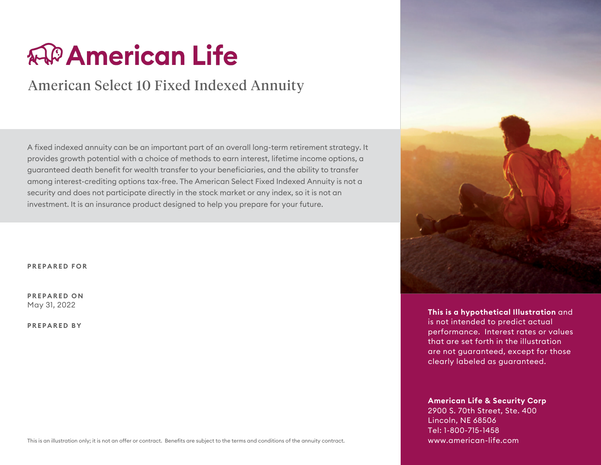# **AP American Life**

# American Select 10 Fixed Indexed Annuity

A fixed indexed annuity can be an important part of an overall long-term retirement strategy. It provides growth potential with a choice of methods to earn interest, lifetime income options, a guaranteed death benefit for wealth transfer to your beneficiaries, and the ability to transfer among interest-crediting options tax-free. The American Select Fixed Indexed Annuity is not a security and does not participate directly in the stock market or any index, so it is not an investment. It is an insurance product designed to help you prepare for your future.

**PREPARED FOR**

**PREPARED ON** May 31, 2022

**PREPARED BY**



**This is a hypothetical Illustration** and is not intended to predict actual performance. Interest rates or values that are set forth in the illustration are not guaranteed, except for those clearly labeled as guaranteed.

**American Life & Security Corp** 2900 S. 70th Street, Ste. 400 Lincoln, NE 68506 Tel: 1-800-715-1458 www.american-life.com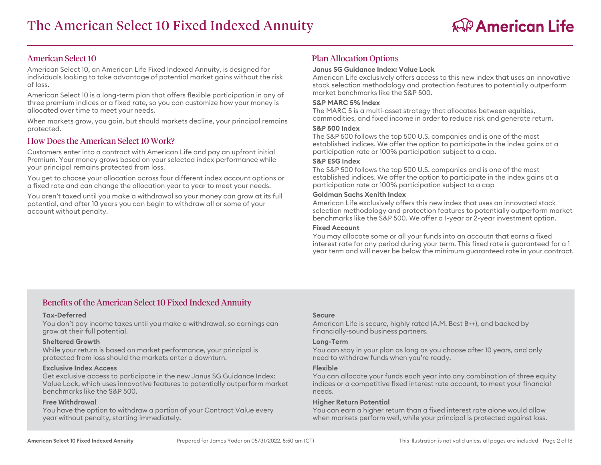### American Select 10

American Select 10, an American Life Fixed Indexed Annuity, is designed for individuals looking to take advantage of potential market gains without the risk of loss.

American Select 10 is a long-term plan that offers flexible participation in any of three premium indices or a fixed rate, so you can customize how your money is allocated over time to meet your needs.

When markets grow, you gain, but should markets decline, your principal remains protected.

# How Does the American Select 10 Work?

Customers enter into a contract with American Life and pay an upfront initial Premium. Your money grows based on your selected index performance while your principal remains protected from loss.

You get to choose your allocation across four different index account options or a fixed rate and can change the allocation year to year to meet your needs.

You aren't taxed until you make a withdrawal so your money can grow at its full potential, and after 10 years you can begin to withdraw all or some of your account without penalty.

# Plan Allocation Options

#### **Janus SG Guidance Index: Value Lock**

American Life exclusively offers access to this new index that uses an innovative stock selection methodology and protection features to potentially outperform market benchmarks like the S&P 500.

#### **S&P MARC 5% Index**

The MARC 5 is a multi-asset strategy that allocates between equities, commodities, and fixed income in order to reduce risk and generate return.

#### **S&P 500 Index**

The S&P 500 follows the top 500 U.S. companies and is one of the most established indices. We offer the option to participate in the index gains at a participation rate or 100% participation subject to a cap.

#### **S&P ESG Index**

The S&P 500 follows the top 500 U.S. companies and is one of the most established indices. We offer the option to participate in the index gains at a participation rate or 100% participation subject to a cap

#### **Goldman Sachs Xenith Index**

American Life exclusively offers this new index that uses an innovated stock selection methodology and protection features to potentially outperform market benchmarks like the S&P 500. We offer a 1-year or 2-year investment option.

#### **Fixed Account**

You may allocate some or all your funds into an accoutn that earns a fixed interest rate for any period during your term. This fixed rate is guaranteed for a 1 year term and will never be below the minimum guaranteed rate in your contract.

# Benefits of the American Select 10 Fixed Indexed Annuity

#### **Tax-Deferred**

You don't pay income taxes until you make a withdrawal, so earnings can grow at their full potential.

#### **Sheltered Growth**

While your return is based on market performance, your principal is protected from loss should the markets enter a downturn.

#### **Exclusive Index Access**

Get exclusive access to participate in the new Janus SG Guidance Index: Value Lock, which uses innovative features to potentially outperform market benchmarks like the S&P 500.

#### **Free Withdrawal**

You have the option to withdraw a portion of your Contract Value every year without penalty, starting immediately.

#### **Secure**

American Life is secure, highly rated (A.M. Best B++), and backed by financially-sound business partners.

#### **Long-Term**

You can stay in your plan as long as you choose after 10 years, and only need to withdraw funds when you're ready.

#### **Flexible**

You can allocate your funds each year into any combination of three equity indices or a competitive fixed interest rate account, to meet your financial needs.

#### **Higher Return Potential**

You can earn a higher return than a fixed interest rate alone would allow when markets perform well, while your principal is protected against loss.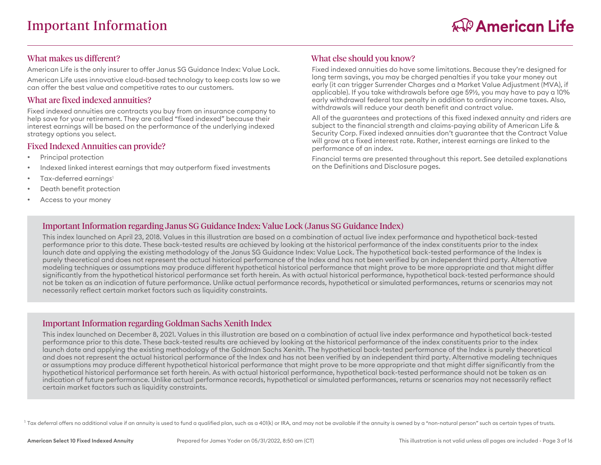# What makes us different?

American Life is the only insurer to offer Janus SG Guidance Index: Value Lock.

American Life uses innovative cloud-based technology to keep costs low so we can offer the best value and competitive rates to our customers.

# What are fixed indexed annuities?

Fixed indexed annuities are contracts you buy from an insurance company to help save for your retirement. They are called "fixed indexed" because their interest earnings will be based on the performance of the underlying indexed strategy options you select.

### Fixed Indexed Annuities can provide?

- Principal protection
- Indexed linked interest earnings that may outperform fixed investments
- Tax-deferred earnings<sup>1</sup>
- Death benefit protection
- Access to your money

# What else should you know?

Fixed indexed annuities do have some limitations. Because they're designed for long term savings, you may be charged penalties if you take your money out early (it can trigger Surrender Charges and a Market Value Adjustment (MVA), if applicable). If you take withdrawals before age 59½, you may have to pay a 10% early withdrawal federal tax penalty in addition to ordinary income taxes. Also, withdrawals will reduce your death benefit and contract value.

All of the guarantees and protections of this fixed indexed annuity and riders are subject to the financial strength and claims-paying ability of American Life & Security Corp. Fixed indexed annuities don't guarantee that the Contract Value will grow at a fixed interest rate. Rather, interest earnings are linked to the performance of an index.

Financial terms are presented throughout this report. See detailed explanations on the Definitions and Disclosure pages.

# Important Information regarding Janus SG Guidance Index: Value Lock (Janus SG Guidance Index)

This index launched on April 23, 2018. Values in this illustration are based on a combination of actual live index performance and hypothetical back-tested performance prior to this date. These back-tested results are achieved by looking at the historical performance of the index constituents prior to the index launch date and applying the existing methodology of the Janus SG Guidance Index: Value Lock. The hypothetical back-tested performance of the Index is purely theoretical and does not represent the actual historical performance of the Index and has not been verified by an independent third party. Alternative modeling techniques or assumptions may produce different hypothetical historical performance that might prove to be more appropriate and that might differ significantly from the hypothetical historical performance set forth herein. As with actual historical performance, hypothetical back-tested performance should not be taken as an indication of future performance. Unlike actual performance records, hypothetical or simulated performances, returns or scenarios may not necessarily reflect certain market factors such as liquidity constraints.

# Important Information regarding Goldman Sachs Xenith Index

This index launched on December 8, 2021. Values in this illustration are based on a combination of actual live index performance and hypothetical back-tested performance prior to this date. These back-tested results are achieved by looking at the historical performance of the index constituents prior to the index launch date and applying the existing methodology of the Goldman Sachs Xenith. The hypothetical back-tested performance of the Index is purely theoretical and does not represent the actual historical performance of the Index and has not been verified by an independent third party. Alternative modeling techniques or assumptions may produce different hypothetical historical performance that might prove to be more appropriate and that might differ significantly from the hypothetical historical performance set forth herein. As with actual historical performance, hypothetical back-tested performance should not be taken as an indication of future performance. Unlike actual performance records, hypothetical or simulated performances, returns or scenarios may not necessarily reflect certain market factors such as liquidity constraints.

 $^1$  Tax deferral offers no additional value if an annuity is used to fund a qualified plan, such as a 401(k) or IRA, and may not be available if the annuity is owned by a "non-natural person" such as certain types of tru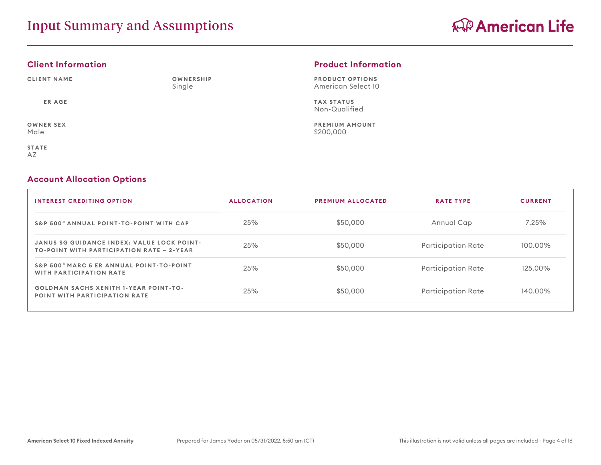# **Client Information**

AZ

**CLIENT NAME ER AGE OWNER SEX** Male **STATE OWNERSHIP** Single

# **Product Information**

**PRODUCT OPTIONS** American Select 10

**TAX STATUS** Non-Qualified

**PREMIUM AMOUNT** \$200,000

### **Account Allocation Options**

| <b>INTEREST CREDITING OPTION</b>                                                                      | <b>ALLOCATION</b> | <b>PREMIUM ALLOCATED</b> | <b>RATE TYPE</b>   | <b>CURRENT</b> |
|-------------------------------------------------------------------------------------------------------|-------------------|--------------------------|--------------------|----------------|
| S&P 500 <sup>®</sup> ANNUAL POINT-TO-POINT WITH CAP                                                   | 25%               | \$50,000                 | Annual Cap         | 7.25%          |
| <b>JANUS SG GUIDANCE INDEX: VALUE LOCK POINT-</b><br><b>TO-POINT WITH PARTICIPATION RATE - 2-YEAR</b> | 25%               | \$50,000                 | Participation Rate | 100.00%        |
| S&P 500 <sup>®</sup> MARC 5 ER ANNUAL POINT-TO-POINT<br><b>WITH PARTICIPATION RATE</b>                | 25%               | \$50,000                 | Participation Rate | 125.00%        |
| <b>GOLDMAN SACHS XENITH 1-YEAR POINT-TO-</b><br><b>POINT WITH PARTICIPATION RATE</b>                  | 25%               | \$50,000                 | Participation Rate | 140.00%        |
|                                                                                                       |                   |                          |                    |                |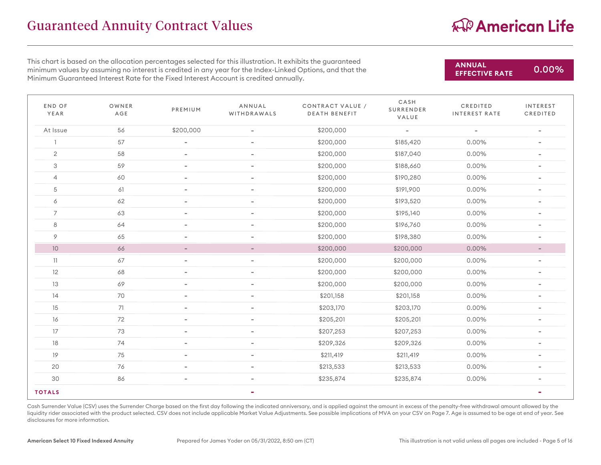# Guaranteed Annuity Contract Values

# AP American Life

**EFFECTIVE RATE** 0.00%

**ANNUAL**

This chart is based on the allocation percentages selected for this illustration. It exhibits the guaranteed minimum values by assuming no interest is credited in any year for the Index-Linked Options, and that the Minimum Guaranteed Interest Rate for the Fixed Interest Account is credited annually.

END OF YEAR OWNER AGE PREMIUM ANNUAL WITHDRAWALS CONTRACT VALUE / DEATH BENEFIT CASH SURRENDER VALUE CREDITED INTEREST RATE INTEREST CREDITED At Issue <sup>56</sup> \$200,000 - \$200,000 - - - 1 57 - - - - - - \$200,000 \$185,420 0.00% <mark>-</mark> 2 58 - - - - - \$200,000 \$187,040 0.00% - $3$  59 - - - - - -  $\frac{1}{200,000}$   $\frac{1}{3188,660}$  0.00% - $4$  60 - - - - - \$200,000 \$190,280 0.00% -5 61 - - - - - \$200,000 \$191,900 0.00% 0.00% -6 62 - - - - - - \$200,000 \$193,520 0.00% <mark>-</mark> 7 63 - - - - - 1 \$200,000 \$195,140 0.00% -8 64 - - - - - \$200,000 \$196,760 0.00% <mark>-</mark> 9 65 - - - - - \$200,000 \$198,380 0.00% <mark>-</mark> - 10 5200,000 \$200,000 \$200,000 \$200,000 <mark>\$</mark>200,000 \$200,000 <mark>.</mark> بالمستخدم المستخدم المستخدم المستخدم المستخدم ال 11 67 - - - - - - \$200,000 \$200,000 <mark>\$200,000 0.00% -</mark> 12 68 - - - - - - \$200,000 \$200,000 <mark>\$200,000 0.00% -</mark> 13 69 - - - - - - \$200,000 \$200,000 <mark>\$200,000 0.00% -</mark> 14 70 - - - - - \$201,158 \$201,158 \$201,158 0.00% <mark>-</mark> 15 71 - - - - - \$203,170 \$203,170 \$203,170 0.00% -16 16 16 16 172 - 16 172 16 172 16 172 16 172 16 172 16 172 16 172 16 172 16 172 16 172 16 172 16 172 16 172 1 17 73 - - - - - - \$207,253 \$207,253 \$207,253 0.00% -18 18 74 - 1 - 1 - \$209,326 \$209,326 \$209,326 0.00% -19 75 - - - - - \$211,419 \$211,419 \$211,419 <mark>\$200,00% -</mark> 20 76 - - - - - - \$213,533 \$213,533 \$213,533 0.00% <mark>-</mark>  $30$  86 - - - - - \$235,874 \$235,874 \$235,874 0.00% -**TOTALS - -**

Cash Surrender Value (CSV) uses the Surrender Charge based on the first day following the indicated anniversary, and is applied against the amount in excess of the penalty-free withdrawal amount allowed by the liquidity rider associated with the product selected. CSV does not include applicable Market Value Adjustments. See possible implications of MVA on your CSV on Page 7. Age is assumed to be age at end of year. See disclosures for more information.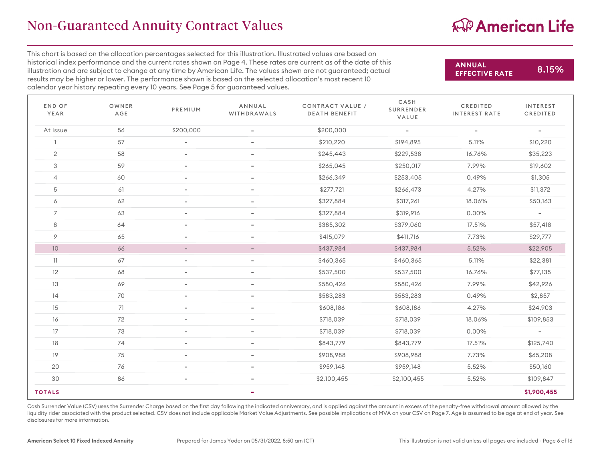# AP American Life

This chart is based on the allocation percentages selected for this illustration. Illustrated values are based on historical index performance and the current rates shown on Page 4. These rates are current as of the date of this illustration and are subject to change at any time by American Life. The values shown are not guaranteed; actual results may be higher or lower. The performance shown is based on the selected allocation's most recent 10 calendar year history repeating every 10 years. See Page 5 for guaranteed values.

**ANNUAL EFFECTIVE RATE** 8.15%

| END OF<br>YEAR | OWNER<br>AGE | PREMIUM                  | ANNUAL<br>WITHDRAWALS    | CONTRACT VALUE /<br><b>DEATH BENEFIT</b> | CASH<br>SURRENDER<br>VALUE | CREDITED<br><b>INTEREST RATE</b> | <b>INTEREST</b><br>CREDITED |
|----------------|--------------|--------------------------|--------------------------|------------------------------------------|----------------------------|----------------------------------|-----------------------------|
| At Issue       | 56           | \$200,000                | $\overline{\phantom{a}}$ | \$200,000                                | $\overline{\phantom{a}}$   | $\overline{\phantom{a}}$         | $\overline{\phantom{a}}$    |
|                | 57           | $\qquad \qquad =$        | $\overline{\phantom{a}}$ | \$210,220                                | \$194,895                  | 5.11%                            | \$10,220                    |
| $\overline{2}$ | 58           | $\overline{\phantom{a}}$ | $\overline{\phantom{a}}$ | \$245,443                                | \$229,538                  | 16.76%                           | \$35,223                    |
| 3              | 59           | $\overline{\phantom{a}}$ | $\overline{\phantom{a}}$ | \$265,045                                | \$250,017                  | 7.99%                            | \$19,602                    |
| $\overline{4}$ | 60           | $\overline{\phantom{a}}$ | $\overline{\phantom{a}}$ | \$266,349                                | \$253,405                  | 0.49%                            | \$1,305                     |
| 5              | 61           | $\overline{\phantom{a}}$ | $\overline{\phantom{a}}$ | \$277,721                                | \$266,473                  | 4.27%                            | \$11,372                    |
| 6              | 62           | $\overline{\phantom{a}}$ | $\overline{\phantom{a}}$ | \$327,884                                | \$317,261                  | 18.06%                           | \$50,163                    |
| $\overline{7}$ | 63           | $\overline{\phantom{0}}$ | $\qquad \qquad =$        | \$327,884                                | \$319,916                  | $0.00\%$                         | $\overline{\phantom{a}}$    |
| 8              | 64           | $\overline{\phantom{a}}$ | $\overline{\phantom{a}}$ | \$385,302                                | \$379,060                  | 17.51%                           | \$57,418                    |
| 9              | 65           | $\overline{\phantom{a}}$ | $\overline{\phantom{a}}$ | \$415,079                                | \$411,716                  | 7.73%                            | \$29,777                    |
| $10$           | 66           | $\overline{\phantom{a}}$ | $\overline{\phantom{a}}$ | \$437,984                                | \$437,984                  | 5.52%                            | \$22,905                    |
| 11             | 67           | $\overline{\phantom{0}}$ | $\overline{\phantom{0}}$ | \$460,365                                | \$460,365                  | 5.11%                            | \$22,381                    |
| 12             | 68           | $\overline{\phantom{a}}$ | $\overline{\phantom{a}}$ | \$537,500                                | \$537,500                  | 16.76%                           | \$77,135                    |
| 13             | 69           | $\overline{\phantom{0}}$ | $\overline{\phantom{a}}$ | \$580,426                                | \$580,426                  | 7.99%                            | \$42,926                    |
| 14             | 70           | $\overline{\phantom{a}}$ | $\overline{\phantom{0}}$ | \$583,283                                | \$583,283                  | 0.49%                            | \$2,857                     |
| 15             | 71           | $\overline{\phantom{0}}$ | $\overline{\phantom{a}}$ | \$608,186                                | \$608,186                  | 4.27%                            | \$24,903                    |
| 16             | 72           | $\overline{\phantom{a}}$ | $\overline{\phantom{a}}$ | \$718,039                                | \$718,039                  | 18.06%                           | \$109,853                   |
| 17             | 73           | $\overline{\phantom{a}}$ | $\overline{\phantom{a}}$ | \$718,039                                | \$718,039                  | $0.00\%$                         | $\overline{\phantom{a}}$    |
| 18             | 74           | $\overline{\phantom{a}}$ | $\overline{\phantom{a}}$ | \$843,779                                | \$843,779                  | 17.51%                           | \$125,740                   |
| 19             | 75           | $\overline{\phantom{a}}$ | $\overline{\phantom{a}}$ | \$908,988                                | \$908,988                  | 7.73%                            | \$65,208                    |
| 20             | 76           | $\qquad \qquad =$        | $\overline{\phantom{a}}$ | \$959,148                                | \$959,148                  | 5.52%                            | \$50,160                    |
| 30             | 86           | $\overline{\phantom{a}}$ | $\overline{\phantom{a}}$ | \$2,100,455                              | \$2,100,455                | 5.52%                            | \$109,847                   |
| <b>TOTALS</b>  |              |                          | ۰                        |                                          |                            |                                  | \$1,900,455                 |

Cash Surrender Value (CSV) uses the Surrender Charge based on the first day following the indicated anniversary, and is applied against the amount in excess of the penalty-free withdrawal amount allowed by the liquidity rider associated with the product selected. CSV does not include applicable Market Value Adjustments. See possible implications of MVA on your CSV on Page 7. Age is assumed to be age at end of year. See disclosures for more information.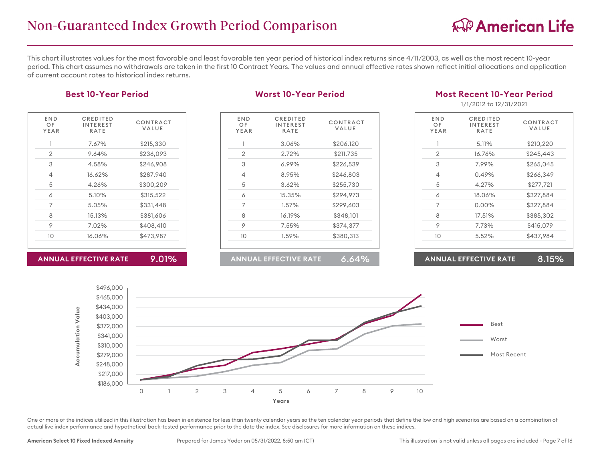This chart illustrates values for the most favorable and least favorable ten year period of historical index returns since 4/11/2003, as well as the most recent 10-year period. This chart assumes no withdrawals are taken in the first 10 Contract Years. The values and annual effective rates shown reflect initial allocations and application of current account rates to historical index returns.

### **Best 10-Year Period**

| END<br>OF<br>YEAR | CREDITED<br>INTEREST<br><b>RATE</b> | CONTRACT<br>VALUE |
|-------------------|-------------------------------------|-------------------|
|                   | 7.67%                               | \$215,330         |
| 2                 | 9.64%                               | \$236,093         |
| 3                 | 4.58%                               | \$246,908         |
| 4                 | 16.62%                              | \$287,940         |
| 5                 | 4.26%                               | \$300,209         |
| 6                 | 5.10%                               | \$315,522         |
| 7                 | 5.05%                               | \$331,448         |
| 8                 | 15.13%                              | \$381,606         |
| 9                 | 7.02%                               | \$408,410         |
| 10                | 16.06%                              | \$473,987         |
|                   |                                     |                   |

**ANNUAL EFFECTIVE RATE** 9.01%

#### **Worst 10-Year Period**

| END<br>OF<br>YEAR | CREDITED<br><b>INTEREST</b><br><b>RATE</b> | CONTRACT<br>VALUE |
|-------------------|--------------------------------------------|-------------------|
| 1                 | 3.06%                                      | \$206,120         |
| 2                 | 2.72%                                      | \$211,735         |
| 3                 | 6.99%                                      | \$226,539         |
| 4                 | 8.95%                                      | \$246,803         |
| 5                 | 3.62%                                      | \$255,730         |
| 6                 | 15.35%                                     | \$294,973         |
| 7                 | 1.57%                                      | \$299,603         |
| 8                 | 16.19%                                     | \$348,101         |
| 9                 | 7.55%                                      | \$374,377         |
| 10                | 1.59%                                      | \$380,313         |
|                   |                                            |                   |

### **ANNUAL EFFECTIVE RATE** 6.64%

### **Most Recent 10-Year Period**

1/1/2012 to 12/31/2021

| END<br>OF<br>YEAR | CREDITED<br>INTEREST<br>RATE | CONTRACT<br>VALUE |
|-------------------|------------------------------|-------------------|
| 1                 | 5.11%                        | \$210,220         |
| $\mathfrak{D}$    | 16.76%                       | \$245,443         |
| 3                 | 7.99%                        | \$265,045         |
| 4                 | 0.49%                        | \$266,349         |
| 5                 | 4.27%                        | \$277,721         |
| 6                 | 18.06%                       | \$327,884         |
| 7                 | $0.00\%$                     | \$327,884         |
| 8                 | 17.51%                       | \$385,302         |
| 9                 | 7.73%                        | \$415,079         |
| 10                | 5.52%                        | \$437,984         |
|                   |                              |                   |

#### **ANNUAL EFFECTIVE RATE** 8.15%





One or more of the indices utilized in this illustration has been in existence for less than twenty calendar years so the ten calendar year periods that define the low and high scenarios are based on a combination of actual live index performance and hypothetical back-tested performance prior to the date the index. See disclosures for more information on these indices.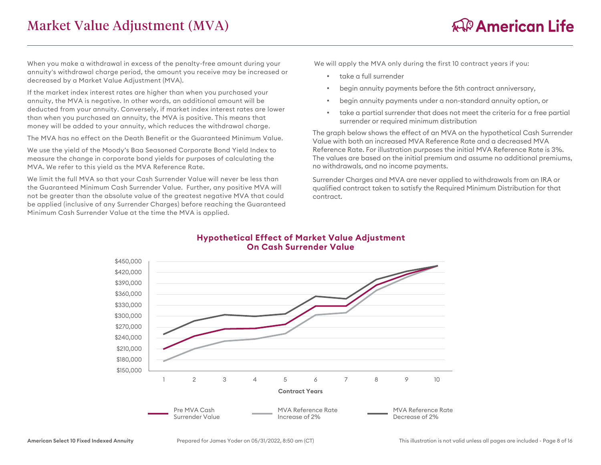When you make a withdrawal in excess of the penalty-free amount during your annuity's withdrawal charge period, the amount you receive may be increased or decreased by a Market Value Adjustment (MVA).

If the market index interest rates are higher than when you purchased your annuity, the MVA is negative. In other words, an additional amount will be deducted from your annuity. Conversely, if market index interest rates are lower than when you purchased an annuity, the MVA is positive. This means that money will be added to your annuity, which reduces the withdrawal charge.

The MVA has no effect on the Death Benefit or the Guaranteed Minimum Value.

We use the yield of the Moody's Baa Seasoned Corporate Bond Yield Index to measure the change in corporate bond yields for purposes of calculating the MVA. We refer to this yield as the MVA Reference Rate.

We limit the full MVA so that your Cash Surrender Value will never be less than the Guaranteed Minimum Cash Surrender Value. Further, any positive MVA will not be greater than the absolute value of the greatest negative MVA that could be applied (inclusive of any Surrender Charges) before reaching the Guaranteed Minimum Cash Surrender Value at the time the MVA is applied.

We will apply the MVA only during the first 10 contract years if you:

- take a full surrender
- begin annuity payments before the 5th contract anniversary,
- begin annuity payments under a non-standard annuity option, or
- take a partial surrender that does not meet the criteria for a free partial surrender or required minimum distribution

The graph below shows the effect of an MVA on the hypothetical Cash Surrender Value with both an increased MVA Reference Rate and a decreased MVA Reference Rate. For illustration purposes the initial MVA Reference Rate is 3%. The values are based on the initial premium and assume no additional premiums, no withdrawals, and no income payments.

Surrender Charges and MVA are never applied to withdrawals from an IRA or qualified contract taken to satisfy the Required Minimum Distribution for that contract.



# **Hypothetical Effect of Market Value Adjustment On Cash Surrender Value**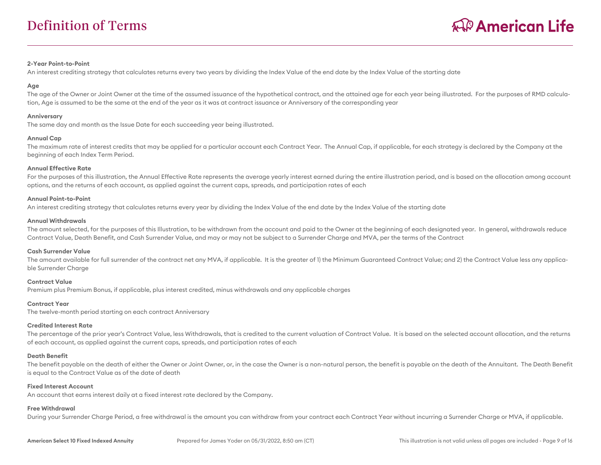#### **2-Year Point-to-Point**

An interest crediting strategy that calculates returns every two years by dividing the Index Value of the end date by the Index Value of the starting date

#### **Age**

The age of the Owner or Joint Owner at the time of the assumed issuance of the hypothetical contract, and the attained age for each year being illustrated. For the purposes of RMD calculation, Age is assumed to be the same at the end of the year as it was at contract issuance or Anniversary of the corresponding year

#### **Anniversary**

The same day and month as the Issue Date for each succeeding year being illustrated.

#### **Annual Cap**

The maximum rate of interest credits that may be applied for a particular account each Contract Year. The Annual Cap, if applicable, for each strategy is declared by the Company at the beginning of each Index Term Period.

#### **Annual Effective Rate**

For the purposes of this illustration, the Annual Effective Rate represents the average yearly interest earned during the entire illustration period, and is based on the allocation among account options, and the returns of each account, as applied against the current caps, spreads, and participation rates of each

#### **Annual Point-to-Point**

An interest crediting strategy that calculates returns every year by dividing the Index Value of the end date by the Index Value of the starting date

#### **Annual Withdrawals**

The amount selected, for the purposes of this Illustration, to be withdrawn from the account and paid to the Owner at the beginning of each designated year. In general, withdrawals reduce Contract Value, Death Benefit, and Cash Surrender Value, and may or may not be subject to a Surrender Charge and MVA, per the terms of the Contract

#### **Cash Surrender Value**

The amount available for full surrender of the contract net any MVA, if applicable. It is the greater of 1) the Minimum Guaranteed Contract Value; and 2) the Contract Value less any applicable Surrender Charge

#### **Contract Value**

Premium plus Premium Bonus, if applicable, plus interest credited, minus withdrawals and any applicable charges

#### **Contract Year**

The twelve-month period starting on each contract Anniversary

#### **Credited Interest Rate**

The percentage of the prior year's Contract Value, less Withdrawals, that is credited to the current valuation of Contract Value. It is based on the selected account allocation, and the returns of each account, as applied against the current caps, spreads, and participation rates of each

#### **Death Benefit**

The benefit payable on the death of either the Owner or Joint Owner, or, in the case the Owner is a non-natural person, the benefit is payable on the death of the Annuitant. The Death Benefit is equal to the Contract Value as of the date of death

#### **Fixed Interest Account**

An account that earns interest daily at a fixed interest rate declared by the Company.

#### **Free Withdrawal**

During your Surrender Charge Period, a free withdrawal is the amount you can withdraw from your contract each Contract Year without incurring a Surrender Charge or MVA, if applicable.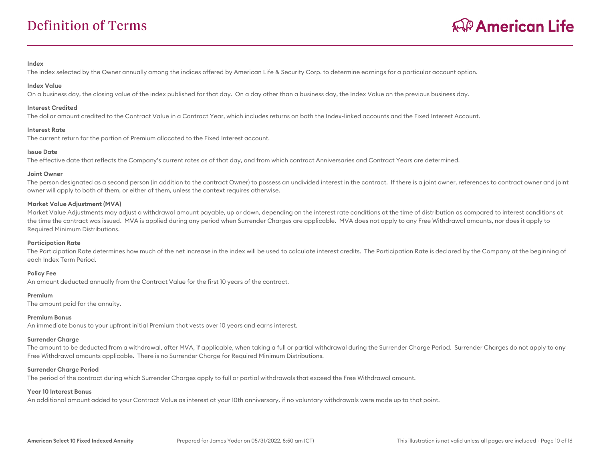#### **Index**

The index selected by the Owner annually among the indices offered by American Life & Security Corp. to determine earnings for a particular account option.

#### **Index Value**

On a business day, the closing value of the index published for that day. On a day other than a business day, the Index Value on the previous business day.

#### **Interest Credited**

The dollar amount credited to the Contract Value in a Contract Year, which includes returns on both the Index-linked accounts and the Fixed Interest Account.

#### **Interest Rate**

The current return for the portion of Premium allocated to the Fixed Interest account.

#### **Issue Date**

The effective date that reflects the Company's current rates as of that day, and from which contract Anniversaries and Contract Years are determined.

#### **Joint Owner**

The person designated as a second person (in addition to the contract Owner) to possess an undivided interest in the contract. If there is a joint owner, references to contract owner and joint owner will apply to both of them, or either of them, unless the context requires otherwise.

#### **Market Value Adjustment (MVA)**

Market Value Adjustments may adjust a withdrawal amount payable, up or down, depending on the interest rate conditions at the time of distribution as compared to interest conditions at the time the contract was issued. MVA is applied during any period when Surrender Charges are applicable. MVA does not apply to any Free Withdrawal amounts, nor does it apply to Required Minimum Distributions.

#### **Participation Rate**

The Participation Rate determines how much of the net increase in the index will be used to calculate interest credits. The Participation Rate is declared by the Company at the beginning of each Index Term Period.

#### **Policy Fee**

An amount deducted annually from the Contract Value for the first 10 years of the contract.

#### **Premium**

The amount paid for the annuity.

#### **Premium Bonus**

An immediate bonus to your upfront initial Premium that vests over 10 years and earns interest.

#### **Surrender Charge**

The amount to be deducted from a withdrawal, after MVA, if applicable, when taking a full or partial withdrawal during the Surrender Charge Period. Surrender Charges do not apply to any Free Withdrawal amounts applicable. There is no Surrender Charge for Required Minimum Distributions.

#### **Surrender Charge Period**

The period of the contract during which Surrender Charges apply to full or partial withdrawals that exceed the Free Withdrawal amount.

#### **Year 10 Interest Bonus**

An additional amount added to your Contract Value as interest at your 10th anniversary, if no voluntary withdrawals were made up to that point.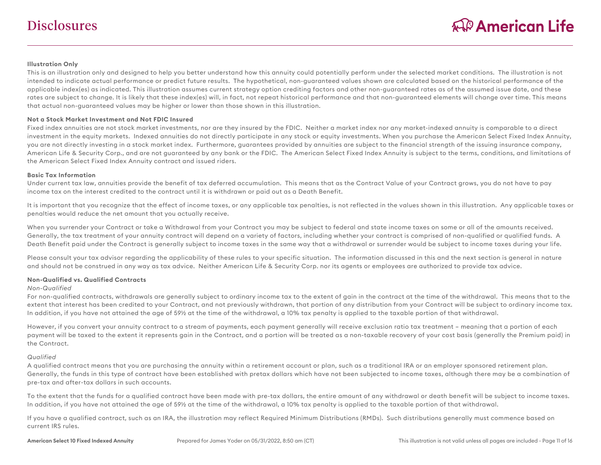# **Disclosures**

#### **Illustration Only**

This is an illustration only and designed to help you better understand how this annuity could potentially perform under the selected market conditions. The illustration is not intended to indicate actual performance or predict future results. The hypothetical, non-guaranteed values shown are calculated based on the historical performance of the applicable index(es) as indicated. This illustration assumes current strategy option crediting factors and other non-guaranteed rates as of the assumed issue date, and these rates are subject to change. It is likely that these index(es) will, in fact, not repeat historical performance and that non-guaranteed elements will change over time. This means that actual non-guaranteed values may be higher or lower than those shown in this illustration.

#### **Not a Stock Market Investment and Not FDIC Insured**

Fixed index annuities are not stock market investments, nor are they insured by the FDIC. Neither a market index nor any market-indexed annuity is comparable to a direct investment in the equity markets. Indexed annuities do not directly participate in any stock or equity investments. When you purchase the American Select Fixed Index Annuity, you are not directly investing in a stock market index. Furthermore, guarantees provided by annuities are subject to the financial strength of the issuing insurance company, American Life & Security Corp., and are not guaranteed by any bank or the FDIC. The American Select Fixed Index Annuity is subject to the terms, conditions, and limitations of the American Select Fixed Index Annuity contract and issued riders.

#### **Basic Tax Information**

Under current tax law, annuities provide the benefit of tax deferred accumulation. This means that as the Contract Value of your Contract grows, you do not have to pay income tax on the interest credited to the contract until it is withdrawn or paid out as a Death Benefit.

It is important that you recognize that the effect of income taxes, or any applicable tax penalties, is not reflected in the values shown in this illustration. Any applicable taxes or penalties would reduce the net amount that you actually receive.

When you surrender your Contract or take a Withdrawal from your Contract you may be subject to federal and state income taxes on some or all of the amounts received. Generally, the tax treatment of your annuity contract will depend on a variety of factors, including whether your contract is comprised of non-qualified or qualified funds. A Death Benefit paid under the Contract is generally subject to income taxes in the same way that a withdrawal or surrender would be subject to income taxes during your life.

Please consult your tax advisor regarding the applicability of these rules to your specific situation. The information discussed in this and the next section is general in nature and should not be construed in any way as tax advice. Neither American Life & Security Corp. nor its agents or employees are authorized to provide tax advice.

#### **Non-Qualified vs. Qualified Contracts**

#### *Non-Qualified*

For non-qualified contracts, withdrawals are generally subject to ordinary income tax to the extent of gain in the contract at the time of the withdrawal. This means that to the extent that interest has been credited to your Contract, and not previously withdrawn, that portion of any distribution from your Contract will be subject to ordinary income tax. In addition, if you have not attained the age of 59½ at the time of the withdrawal, a 10% tax penalty is applied to the taxable portion of that withdrawal.

However, if you convert your annuity contract to a stream of payments, each payment generally will receive exclusion ratio tax treatment – meaning that a portion of each payment will be taxed to the extent it represents gain in the Contract, and a portion will be treated as a non-taxable recovery of your cost basis (generally the Premium paid) in the Contract.

#### *Qualified*

A qualified contract means that you are purchasing the annuity within a retirement account or plan, such as a traditional IRA or an employer sponsored retirement plan. Generally, the funds in this type of contract have been established with pretax dollars which have not been subjected to income taxes, although there may be a combination of pre-tax and after-tax dollars in such accounts.

To the extent that the funds for a qualified contract have been made with pre-tax dollars, the entire amount of any withdrawal or death benefit will be subject to income taxes. In addition, if you have not attained the age of 59½ at the time of the withdrawal, a 10% tax penalty is applied to the taxable portion of that withdrawal.

If you have a qualified contract, such as an IRA, the illustration may reflect Required Minimum Distributions (RMDs). Such distributions generally must commence based on current IRS rules.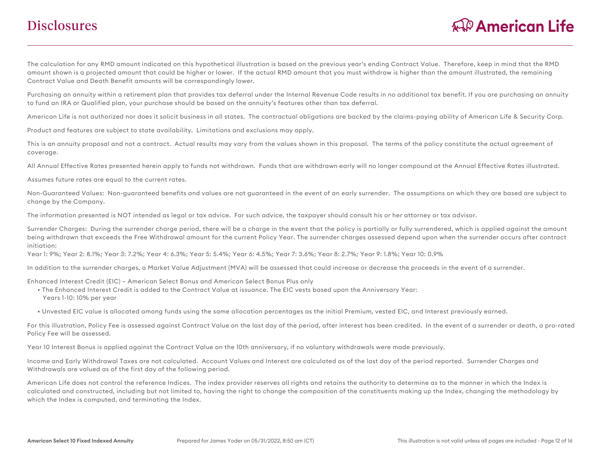# **Disclosures**

The calculation for any RMD amount indicated on this hypothetical illustration is based on the previous year's ending Contract Value. Therefore, keep in mind that the RMD amount shown is a projected amount that could be higher or lower. If the actual RMD amount that you must withdraw is higher than the amount illustrated, the remaining Contract Value and Death Benefit amounts will be correspondingly lower.

Purchasing an annuity within a retirement plan that provides tax deferral under the Internal Revenue Code results in no additional tax benefit. If you are purchasing an annuity to fund an IRA or Qualified plan, your purchase should be based on the annuity's features other than tax deferral.

American Life is not authorized nor does it solicit business in all states. The contractual obligations are backed by the claims-paying ability of American Life & Security Corp.

Product and features are subject to state availability. Limitations and exclusions may apply.

This is an annuity proposal and not a contract. Actual results may vary from the values shown in this proposal. The terms of the policy constitute the actual agreement of coverage.

All Annual Effective Rates presented herein apply to funds not withdrawn. Funds that are withdrawn early will no longer compound at the Annual Effective Rates illustrated.

Assumes future rates are equal to the current rates.

Non-Guaranteed Values: Non-guaranteed benefits and values are not guaranteed in the event of an early surrender. The assumptions on which they are based are subject to change by the Company.

The information presented is NOT intended as legal or tax advice. For such advice, the taxpayer should consult his or her attorney or tax advisor.

Surrender Charges: During the surrender charge period, there will be a charge in the event that the policy is partially or fully surrendered, which is applied against the amount being withdrawn that exceeds the Free Withdrawal amount for the current Policy Year. The surrender charges assessed depend upon when the surrender occurs after contract initiation:

Year 1: 9%; Year 2: 8.1%; Year 3: 7.2%; Year 4: 6.3%; Year 5: 5.4%; Year 6: 4.5%; Year 7: 3.6%; Year 8: 2.7%; Year 9: 1.8%; Year 10: 0.9%

In addition to the surrender charges, a Market Value Adjustment (MVA) will be assessed that could increase or decrease the proceeds in the event of a surrender.

Enhanced Interest Credit (EIC) – American Select Bonus and American Select Bonus Plus only

 • The Enhanced Interest Credit is added to the Contract Value at issuance. The EIC vests based upon the Anniversary Year: Years 1-10: 10% per year

• Unvested EIC value is allocated among funds using the same allocation percentages as the initial Premium, vested EIC, and Interest previously earned.

For this illustration, Policy Fee is assessed against Contract Value on the last day of the period, after interest has been credited. In the event of a surrender or death, a pro-rated Policy Fee will be assessed.

Year 10 Interest Bonus is applied against the Contract Value on the 10th anniversary, if no voluntary withdrawals were made previously.

Income and Early Withdrawal Taxes are not calculated. Account Values and Interest are calculated as of the last day of the period reported. Surrender Charges and Withdrawals are valued as of the first day of the following period.

American Life does not control the reference Indices. The index provider reserves all rights and retains the authority to determine as to the manner in which the Index is calculated and constructed, including but not limited to, having the right to change the composition of the constituents making up the Index, changing the methodology by which the Index is computed, and terminating the Index.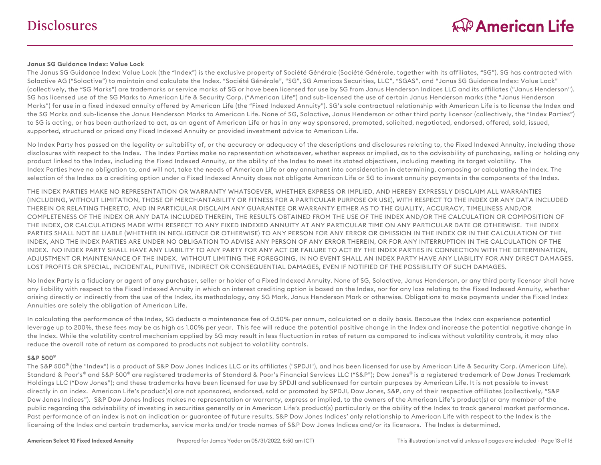#### **Janus SG Guidance Index: Value Lock**

The Janus SG Guidance Index: Value Lock (the "Index") is the exclusive property of Société Générale (Société Générale, together with its affiliates, "SG"). SG has contracted with Solactive AG ("Solactive") to maintain and calculate the Index. "Société Générale", "SG", SG Americas Securities, LLC", "SGAS", and "Janus SG Guidance Index: Value Lock" (collectively, the "SG Marks") are trademarks or service marks of SG or have been licensed for use by SG from Janus Henderson Indices LLC and its affiliates ("Janus Henderson"). SG has licensed use of the SG Marks to American Life & Security Corp. ("American Life") and sub-licensed the use of certain Janus Henderson marks (the "Janus Henderson Marks") for use in a fixed indexed annuity offered by American Life (the "Fixed Indexed Annuity"). SG's sole contractual relationship with American Life is to license the Index and the SG Marks and sub-license the Janus Henderson Marks to American Life. None of SG, Solactive, Janus Henderson or other third party licensor (collectively, the "Index Parties") to SG is acting, or has been authorized to act, as an agent of American Life or has in any way sponsored, promoted, solicited, negotiated, endorsed, offered, sold, issued, supported, structured or priced any Fixed Indexed Annuity or provided investment advice to American Life.

No Index Party has passed on the legality or suitability of, or the accuracy or adequacy of the descriptions and disclosures relating to, the Fixed Indexed Annuity, including those disclosures with respect to the Index. The Index Parties make no representation whatsoever, whether express or implied, as to the advisability of purchasing, selling or holding any product linked to the Index, including the Fixed Indexed Annuity, or the ability of the Index to meet its stated objectives, including meeting its target volatility. The Index Parties have no obligation to, and will not, take the needs of American Life or any annuitant into consideration in determining, composing or calculating the Index. The selection of the Index as a crediting option under a Fixed Indexed Annuity does not obligate American Life or SG to invest annuity payments in the components of the Index.

THE INDEX PARTIES MAKE NO REPRESENTATION OR WARRANTY WHATSOEVER, WHETHER EXPRESS OR IMPLIED, AND HEREBY EXPRESSLY DISCLAIM ALL WARRANTIES (INCLUDING, WITHOUT LIMITATION, THOSE OF MERCHANTABILITY OR FITNESS FOR A PARTICULAR PURPOSE OR USE), WITH RESPECT TO THE INDEX OR ANY DATA INCLUDED THEREIN OR RELATING THERETO, AND IN PARTICULAR DISCLAIM ANY GUARANTEE OR WARRANTY EITHER AS TO THE QUALITY, ACCURACY, TIMELINESS AND/OR COMPLETENESS OF THE INDEX OR ANY DATA INCLUDED THEREIN, THE RESULTS OBTAINED FROM THE USE OF THE INDEX AND/OR THE CALCULATION OR COMPOSITION OF THE INDEX, OR CALCULATIONS MADE WITH RESPECT TO ANY FIXED INDEXED ANNUITY AT ANY PARTICULAR TIME ON ANY PARTICULAR DATE OR OTHERWISE. THE INDEX PARTIES SHALL NOT BE LIABLE (WHETHER IN NEGLIGENCE OR OTHERWISE) TO ANY PERSON FOR ANY ERROR OR OMISSION IN THE INDEX OR IN THE CALCULATION OF THE INDEX, AND THE INDEX PARTIES ARE UNDER NO OBLIGATION TO ADVISE ANY PERSON OF ANY ERROR THEREIN, OR FOR ANY INTERRUPTION IN THE CALCULATION OF THE INDEX. NO INDEX PARTY SHALL HAVE ANY LIABILITY TO ANY PARTY FOR ANY ACT OR FAILURE TO ACT BY THE INDEX PARTIES IN CONNECTION WITH THE DETERMINATION, ADJUSTMENT OR MAINTENANCE OF THE INDEX. WITHOUT LIMITING THE FOREGOING, IN NO EVENT SHALL AN INDEX PARTY HAVE ANY LIABILITY FOR ANY DIRECT DAMAGES, LOST PROFITS OR SPECIAL, INCIDENTAL, PUNITIVE, INDIRECT OR CONSEQUENTIAL DAMAGES, EVEN IF NOTIFIED OF THE POSSIBILITY OF SUCH DAMAGES.

No Index Party is a fiduciary or agent of any purchaser, seller or holder of a Fixed Indexed Annuity. None of SG, Solactive, Janus Henderson, or any third party licensor shall have any liability with respect to the Fixed Indexed Annuity in which an interest crediting option is based on the Index, nor for any loss relating to the Fixed Indexed Annuity, whether arising directly or indirectly from the use of the Index, its methodology, any SG Mark, Janus Henderson Mark or otherwise. Obligations to make payments under the Fixed Index Annuities are solely the obligation of American Life.

In calculating the performance of the Index, SG deducts a maintenance fee of 0.50% per annum, calculated on a daily basis. Because the Index can experience potential leverage up to 200%, these fees may be as high as 1.00% per year. This fee will reduce the potential positive change in the Index and increase the potential negative change in the Index. While the volatility control mechanism applied by SG may result in less fluctuation in rates of return as compared to indices without volatility controls, it may also reduce the overall rate of return as compared to products not subject to volatility controls.

#### **S&P 500** ®

The S&P 500<sup>®</sup> (the "Index") is a product of S&P Dow Jones Indices LLC or its affiliates ("SPDJI"), and has been licensed for use by American Life & Security Corp. (American Life). Standard & Poor's® and S&P 500® are registered trademarks of Standard & Poor's Financial Services LLC ("S&P"); Dow Jones® is a registered trademark of Dow Jones Trademark Holdings LLC ("Dow Jones"); and these trademarks have been licensed for use by SPDJI and sublicensed for certain purposes by American Life. It is not possible to invest directly in an index. American Life's product(s) are not sponsored, endorsed, sold or promoted by SPDJI, Dow Jones, S&P, any of their respective affiliates (collectively, "S&P Dow Jones Indices"). S&P Dow Jones Indices makes no representation or warranty, express or implied, to the owners of the American Life's product(s) or any member of the public regarding the advisability of investing in securities generally or in American Life's product(s) particularly or the ability of the Index to track general market performance. Past performance of an index is not an indication or guarantee of future results. S&P Dow Jones Indices' only relationship to American Life with respect to the Index is the licensing of the Index and certain trademarks, service marks and/or trade names of S&P Dow Jones Indices and/or its licensors. The Index is determined,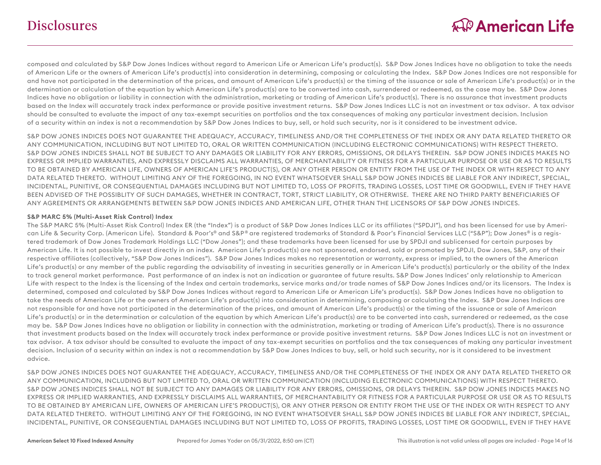composed and calculated by S&P Dow Jones Indices without regard to American Life or American Life's product(s). S&P Dow Jones Indices have no obligation to take the needs of American Life or the owners of American Life's product(s) into consideration in determining, composing or calculating the Index. S&P Dow Jones Indices are not responsible for and have not participated in the determination of the prices, and amount of American Life's product(s) or the timing of the issuance or sale of American Life's product(s) or in the determination or calculation of the equation by which American Life's product(s) are to be converted into cash, surrendered or redeemed, as the case may be. S&P Dow Jones Indices have no obligation or liability in connection with the administration, marketing or trading of American Life's product(s). There is no assurance that investment products based on the Index will accurately track index performance or provide positive investment returns. S&P Dow Jones Indices LLC is not an investment or tax advisor. A tax advisor should be consulted to evaluate the impact of any tax-exempt securities on portfolios and the tax consequences of making any particular investment decision. Inclusion of a security within an index is not a recommendation by S&P Dow Jones Indices to buy, sell, or hold such security, nor is it considered to be investment advice.

S&P DOW JONES INDICES DOES NOT GUARANTEE THE ADEQUACY, ACCURACY, TIMELINESS AND/OR THE COMPLETENESS OF THE INDEX OR ANY DATA RELATED THERETO OR ANY COMMUNICATION, INCLUDING BUT NOT LIMITED TO, ORAL OR WRITTEN COMMUNICATION (INCLUDING ELECTRONIC COMMUNICATIONS) WITH RESPECT THERETO. S&P DOW JONES INDICES SHALL NOT BE SUBJECT TO ANY DAMAGES OR LIABILITY FOR ANY ERRORS, OMISSIONS, OR DELAYS THEREIN. S&P DOW JONES INDICES MAKES NO EXPRESS OR IMPLIED WARRANTIES, AND EXPRESSLY DISCLAIMS ALL WARRANTIES, OF MERCHANTABILITY OR FITNESS FOR A PARTICULAR PURPOSE OR USE OR AS TO RESULTS TO BE OBTAINED BY AMERICAN LIFE, OWNERS OF AMERICAN LIFE'S PRODUCT(S), OR ANY OTHER PERSON OR ENTITY FROM THE USE OF THE INDEX OR WITH RESPECT TO ANY DATA RELATED THERETO. WITHOUT LIMITING ANY OF THE FOREGOING, IN NO EVENT WHATSOEVER SHALL S&P DOW JONES INDICES BE LIABLE FOR ANY INDIRECT, SPECIAL, INCIDENTAL, PUNITIVE, OR CONSEQUENTIAL DAMAGES INCLUDING BUT NOT LIMITED TO, LOSS OF PROFITS, TRADING LOSSES, LOST TIME OR GOODWILL, EVEN IF THEY HAVE BEEN ADVISED OF THE POSSIBLITY OF SUCH DAMAGES, WHETHER IN CONTRACT, TORT, STRICT LIABILITY, OR OTHERWISE. THERE ARE NO THIRD PARTY BENEFICIARIES OF ANY AGREEMENTS OR ARRANGEMENTS BETWEEN S&P DOW JONES INDICES AND AMERICAN LIFE, OTHER THAN THE LICENSORS OF S&P DOW JONES INDICES.

#### **S&P MARC 5% (Multi-Asset Risk Control) Index**

The S&P MARC 5% (Multi-Asset Risk Control) Index ER (the "Index") is a product of S&P Dow Jones Indices LLC or its affiliates ("SPDJI"), and has been licensed for use by American Life & Security Corp. (American Life). Standard & Poor's® and S&P® are registered trademarks of Standard & Poor's Financial Services LLC ("S&P"); Dow Jones® is a registered trademark of Dow Jones Trademark Holdings LLC ("Dow Jones"); and these trademarks have been licensed for use by SPDJI and sublicensed for certain purposes by American Life. It is not possible to invest directly in an index. American Life's product(s) are not sponsored, endorsed, sold or promoted by SPDJI, Dow Jones, S&P, any of their respective affiliates (collectively, "S&P Dow Jones Indices"). S&P Dow Jones Indices makes no representation or warranty, express or implied, to the owners of the American Life's product(s) or any member of the public regarding the advisability of investing in securities generally or in American Life's product(s) particularly or the ability of the Index to track general market performance. Past performance of an index is not an indication or guarantee of future results. S&P Dow Jones Indices' only relationship to American Life with respect to the Index is the licensing of the Index and certain trademarks, service marks and/or trade names of S&P Dow Jones Indices and/or its licensors. The Index is determined, composed and calculated by S&P Dow Jones Indices without regard to American Life or American Life's product(s). S&P Dow Jones Indices have no obligation to take the needs of American Life or the owners of American Life's product(s) into consideration in determining, composing or calculating the Index. S&P Dow Jones Indices are not responsible for and have not participated in the determination of the prices, and amount of American Life's product(s) or the timing of the issuance or sale of American Life's product(s) or in the determination or calculation of the equation by which American Life's product(s) are to be converted into cash, surrendered or redeemed, as the case may be. S&P Dow Jones Indices have no obligation or liability in connection with the administration, marketing or trading of American Life's product(s). There is no assurance that investment products based on the Index will accurately track index performance or provide positive investment returns. S&P Dow Jones Indices LLC is not an investment or tax advisor. A tax advisor should be consulted to evaluate the impact of any tax-exempt securities on portfolios and the tax consequences of making any particular investment decision. Inclusion of a security within an index is not a recommendation by S&P Dow Jones Indices to buy, sell, or hold such security, nor is it considered to be investment advice.

S&P DOW JONES INDICES DOES NOT GUARANTEE THE ADEQUACY, ACCURACY, TIMELINESS AND/OR THE COMPLETENESS OF THE INDEX OR ANY DATA RELATED THERETO OR ANY COMMUNICATION, INCLUDING BUT NOT LIMITED TO, ORAL OR WRITTEN COMMUNICATION (INCLUDING ELECTRONIC COMMUNICATIONS) WITH RESPECT THERETO. S&P DOW JONES INDICES SHALL NOT BE SUBJECT TO ANY DAMAGES OR LIABILITY FOR ANY ERRORS, OMISSIONS, OR DELAYS THEREIN. S&P DOW JONES INDICES MAKES NO EXPRESS OR IMPLIED WARRANTIES, AND EXPRESSLY DISCLAIMS ALL WARRANTIES, OF MERCHANTABILITY OR FITNESS FOR A PARTICULAR PURPOSE OR USE OR AS TO RESULTS TO BE OBTAINED BY AMERICAN LIFE, OWNERS OF AMERICAN LIFE'S PRODUCT(S), OR ANY OTHER PERSON OR ENTITY FROM THE USE OF THE INDEX OR WITH RESPECT TO ANY DATA RELATED THERETO. WITHOUT LIMITING ANY OF THE FOREGOING, IN NO EVENT WHATSOEVER SHALL S&P DOW JONES INDICES BE LIABLE FOR ANY INDIRECT, SPECIAL, INCIDENTAL, PUNITIVE, OR CONSEQUENTIAL DAMAGES INCLUDING BUT NOT LIMITED TO, LOSS OF PROFITS, TRADING LOSSES, LOST TIME OR GOODWILL, EVEN IF THEY HAVE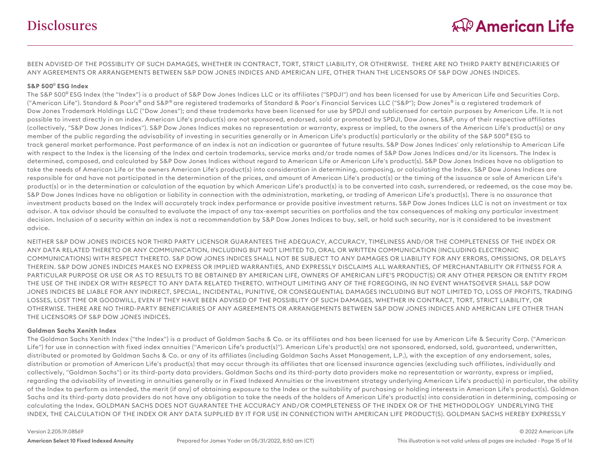BEEN ADVISED OF THE POSSIBLITY OF SUCH DAMAGES, WHETHER IN CONTRACT, TORT, STRICT LIABILITY, OR OTHERWISE. THERE ARE NO THIRD PARTY BENEFICIARIES OF ANY AGREEMENTS OR ARRANGEMENTS BETWEEN S&P DOW JONES INDICES AND AMERICAN LIFE, OTHER THAN THE LICENSORS OF S&P DOW JONES INDICES.

#### **S&P 500** ® **ESG Index**

The S&P 500<sup>®</sup> ESG Index (the "Index") is a product of S&P Dow Jones Indices LLC or its affiliates ("SPDJI") and has been licensed for use by American Life and Securities Corp. ("American Life"). Standard & Poor's® and S&P® are registered trademarks of Standard & Poor's Financial Services LLC ("S&P"); Dow Jones® is a registered trademark of Dow Jones Trademark Holdings LLC ("Dow Jones"); and these trademarks have been licensed for use by SPDJI and sublicensed for certain purposes by American Life. It is not possible to invest directly in an index. American Life's product(s) are not sponsored, endorsed, sold or promoted by SPDJI, Dow Jones, S&P, any of their respective affiliates (collectively, "S&P Dow Jones Indices"). S&P Dow Jones Indices makes no representation or warranty, express or implied, to the owners of the American Life's product(s) or any member of the public regarding the advisability of investing in securities generally or in American Life's product(s) particularly or the ability of the S&P 500<sup>®</sup> ESG to track general market performance. Past performance of an index is not an indication or guarantee of future results. S&P Dow Jones Indices' only relationship to American Life with respect to the Index is the licensing of the Index and certain trademarks, service marks and/or trade names of S&P Dow Jones Indices and/or its licensors. The Index is determined, composed, and calculated by S&P Dow Jones Indices without regard to American Life or American Life's product(s). S&P Dow Jones Indices have no obligation to take the needs of American Life or the owners American Life's product(s) into consideration in determining, composing, or calculating the Index. S&P Dow Jones Indices are responsible for and have not participated in the determination of the prices, and amount of American Life's product(s) or the timing of the issuance or sale of American Life's product(s) or in the determination or calculation of the equation by which American Life's product(s) is to be converted into cash, surrendered, or redeemed, as the case may be. S&P Dow Jones Indices have no obligation or liability in connection with the administration, marketing, or trading of American Life's product(s). There is no assurance that investment products based on the Index will accurately track index performance or provide positive investment returns. S&P Dow Jones Indices LLC is not an investment or tax advisor. A tax advisor should be consulted to evaluate the impact of any tax-exempt securities on portfolios and the tax consequences of making any particular investment decision. Inclusion of a security within an index is not a recommendation by S&P Dow Jones Indices to buy, sell, or hold such security, nor is it considered to be investment advice.

NEITHER S&P DOW JONES INDICES NOR THIRD PARTY LICENSOR GUARANTEES THE ADEQUACY, ACCURACY, TIMELINESS AND/OR THE COMPLETENESS OF THE INDEX OR ANY DATA RELATED THERETO OR ANY COMMUNICATION, INCLUDING BUT NOT LIMITED TO, ORAL OR WRITTEN COMMUNICATION (INCLUDING ELECTRONIC COMMUNICATIONS) WITH RESPECT THERETO. S&P DOW JONES INDICES SHALL NOT BE SUBJECT TO ANY DAMAGES OR LIABILITY FOR ANY ERRORS, OMISSIONS, OR DELAYS THEREIN. S&P DOW JONES INDICES MAKES NO EXPRESS OR IMPLIED WARRANTIES, AND EXPRESSLY DISCLAIMS ALL WARRANTIES, OF MERCHANTABILITY OR FITNESS FOR A PARTICULAR PURPOSE OR USE OR AS TO RESULTS TO BE OBTAINED BY AMERICAN LIFE, OWNERS OF AMERICAN LIFE'S PRODUCT(S) OR ANY OTHER PERSON OR ENTITY FROM THE USE OF THE INDEX OR WITH RESPECT TO ANY DATA RELATED THERETO. WITHOUT LIMITING ANY OF THE FOREGOING, IN NO EVENT WHATSOEVER SHALL S&P DOW JONES INDICES BE LIABLE FOR ANY INDIRECT, SPECIAL, INCIDENTAL, PUNITIVE, OR CONSEQUENTIAL DAMAGES INCLUDING BUT NOT LIMITED TO, LOSS OF PROFITS, TRADING LOSSES, LOST TIME OR GOODWILL, EVEN IF THEY HAVE BEEN ADVISED OF THE POSSIBLITY OF SUCH DAMAGES, WHETHER IN CONTRACT, TORT, STRICT LIABILITY, OR OTHERWISE. THERE ARE NO THIRD-PARTY BENEFICIARIES OF ANY AGREEMENTS OR ARRANGEMENTS BETWEEN S&P DOW JONES INDICES AND AMERICAN LIFE OTHER THAN THE LICENSORS OF S&P DOW JONES INDICES.

#### **Goldman Sachs Xenith Index**

The Goldman Sachs Xenith Index ("the Index") is a product of Goldman Sachs & Co. or its affiliates and has been licensed for use by American Life & Security Corp. ("American Life") for use in connection with fixed index annuities ("American Life's product(s)"). American Life's product(s) are not sponsored, endorsed, sold, guaranteed, underwritten, distributed or promoted by Goldman Sachs & Co. or any of its affiliates (including Goldman Sachs Asset Management, L.P.), with the exception of any endorsement, sales, distribution or promotion of American Life's product(s) that may occur through its affiliates that are licensed insurance agencies (excluding such affiliates, individually and collectively, "Goldman Sachs") or its third-party data providers. Goldman Sachs and its third-party data providers make no representation or warranty, express or implied, regarding the advisability of investing in annuities generally or in Fixed Indexed Annuities or the investment strategy underlying American Life's product(s) in particular, the ability of the Index to perform as intended, the merit (if any) of obtaining exposure to the Index or the suitability of purchasing or holding interests in American Life's product(s). Goldman Sachs and its third-party data providers do not have any obligation to take the needs of the holders of American Life's product(s) into consideration in determining, composing or calculating the Index. GOLDMAN SACHS DOES NOT GUARANTEE THE ACCURACY AND/OR COMPLETENESS OF THE INDEX OR OF THE METHODOLOGY UNDERLYING THE INDEX, THE CALCULATION OF THE INDEX OR ANY DATA SUPPLIED BY IT FOR USE IN CONNECTION WITH AMERICAN LIFE PRODUCT(S). GOLDMAN SACHS HEREBY EXPRESSLY